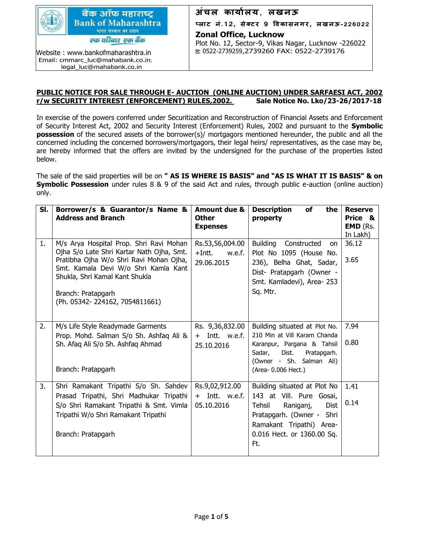

Website : [www.banko](http://www.bank/)fmaharashtra.in Email: [cmmarc\\_luc@mahabank.co.in](mailto:cmmarc_luc@mahabank.co.in); [legal\\_luc@mahabank.co.in](mailto:legal_luc@mahabank.co.in)

**अंचल कार्ाालर्**, **लखनऊ प्लाट नं.12, सेक्टर 9 विकासनगर, लखनऊ-226 0 22 Zonal Office, Lucknow**  Plot No. 12, Sector-9, Vikas Nagar, Lucknow -226022 **:** 0522-2739259,2739260 FAX: 0522-2739176

## **PUBLIC NOTICE FOR SALE THROUGH E- AUCTION (ONLINE AUCTION) UNDER SARFAESI ACT, 2002 r/w SECURITY INTEREST (ENFORCEMENT) RULES,2002. Sale Notice No. Lko/23-26/2017-18**

In exercise of the powers conferred under Securitization and Reconstruction of Financial Assets and Enforcement of Security Interest Act, 2002 and Security Interest (Enforcement) Rules, 2002 and pursuant to the **Symbolic possession** of the secured assets of the borrower(s)/ mortgagors mentioned hereunder, the public and all the concerned including the concerned borrowers/mortgagors, their legal heirs/ representatives, as the case may be, are hereby informed that the offers are invited by the undersigned for the purchase of the properties listed below.

The sale of the said properties will be on **" AS IS WHERE IS BASIS" and "AS IS WHAT IT IS BASIS" & on Symbolic Possession** under rules 8 & 9 of the said Act and rules, through public e-auction (online auction) only.

| SI. | Borrower/s & Guarantor/s Name &<br><b>Address and Branch</b>                                                                                                                                                                                                      | <b>Amount due &amp;</b><br><b>Other</b><br><b>Expenses</b> | <b>Description</b><br>of<br>the<br>property                                                                                                                                                  | <b>Reserve</b><br>Price &<br><b>EMD</b> (Rs.<br>In Lakh) |
|-----|-------------------------------------------------------------------------------------------------------------------------------------------------------------------------------------------------------------------------------------------------------------------|------------------------------------------------------------|----------------------------------------------------------------------------------------------------------------------------------------------------------------------------------------------|----------------------------------------------------------|
| 1.  | M/s Arya Hospital Prop. Shri Ravi Mohan<br>Ojha S/o Late Shri Kartar Nath Ojha, Smt.<br>Pratibha Ojha W/o Shri Ravi Mohan Ojha,<br>Smt. Kamala Devi W/o Shri Kamla Kant<br>Shukla, Shri Kamal Kant Shukla<br>Branch: Pratapgarh<br>(Ph. 05342-224162, 7054811661) | Rs.53,56,004.00<br>$+Int.$<br>w.e.f.<br>29.06.2015         | <b>Building</b><br>Constructed<br>on<br>Plot No 1095 (House No.<br>236), Belha Ghat, Sadar,<br>Dist- Pratapgarh (Owner -<br>Smt. Kamladevi), Area- 253<br>Sq. Mtr.                           | 36.12<br>3.65                                            |
| 2.  | M/s Life Style Readymade Garments<br>Prop. Mohd. Salman S/o Sh. Ashfaq Ali &<br>Sh. Afaq Ali S/o Sh. Ashfaq Ahmad<br>Branch: Pratapgarh                                                                                                                           | Rs. 9,36,832.00<br>+ Intt. w.e.f.<br>25.10.2016            | Building situated at Plot No.<br>210 Min at Vill Karam Chanda<br>Karanpur, Pargana & Tahsil<br>Sadar,<br>Dist.<br>Pratapgarh.<br>(Owner - Sh. Salman Ali)<br>(Area- 0.006 Hect.)             | 7.94<br>0.80                                             |
| 3.  | Shri Ramakant Tripathi S/o Sh. Sahdev<br>Prasad Tripathi, Shri Madhukar Tripathi<br>S/o Shri Ramakant Tripathi & Smt. Vimla<br>Tripathi W/o Shri Ramakant Tripathi<br>Branch: Pratapgarh                                                                          | Rs.9,02,912.00<br>+ Intt. w.e.f.<br>05.10.2016             | Building situated at Plot No<br>143 at Vill. Pure Gosai,<br>Tehsil<br>Raniganj,<br><b>Dist</b><br>Pratapgarh. (Owner - Shri<br>Ramakant Tripathi) Area-<br>0.016 Hect. or 1360.00 Sq.<br>Ft. | 1.41<br>0.14                                             |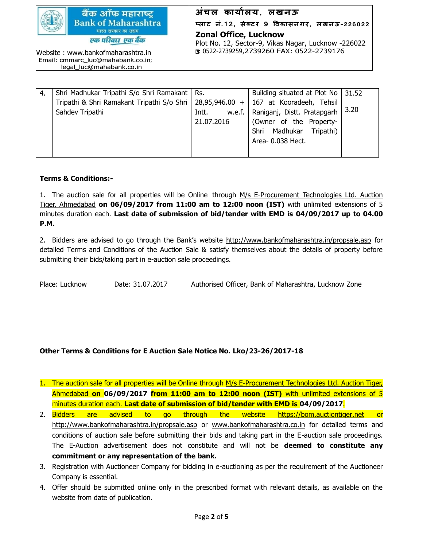| बैंक ऑफ महाराष्ट्र<br><b>Bank of Maharashtra</b><br>भारत सरकार का उद्यम                            | अंचल कार्यालय, लखनऊ<br>प्लाट नं.12, सेक्टर 9 विकासनगर, लखनऊ-226022<br><b>Zonal Office, Lucknow</b><br>Plot No. 12, Sector-9, Vikas Nagar, Lucknow -226022<br>配: 0522-2739259,2739260 FAX: 0522-2739176 |
|----------------------------------------------------------------------------------------------------|--------------------------------------------------------------------------------------------------------------------------------------------------------------------------------------------------------|
| एक परिवार एक बैंक                                                                                  |                                                                                                                                                                                                        |
| Website: www.bankofmaharashtra.in<br>Email: cmmarc_luc@mahabank.co.in;<br>legal luc@mahabank.co.in |                                                                                                                                                                                                        |

| -4. | Shri Madhukar Tripathi S/o Shri Ramakant   Rs.              |                 | Building situated at Plot No   31.52 |      |
|-----|-------------------------------------------------------------|-----------------|--------------------------------------|------|
|     | Tripathi & Shri Ramakant Tripathi S/o Shri   28,95,946.00 + |                 | 167 at Kooradeeh, Tehsil             |      |
|     | Sahdev Tripathi                                             | w.e.f.<br>Intt. | Raniganj, Distt. Pratapgarh          | 3.20 |
|     |                                                             | 21.07.2016      | (Owner of the Property-              |      |
|     |                                                             |                 | Shri Madhukar Tripathi)              |      |
|     |                                                             |                 | Area- 0.038 Hect.                    |      |
|     |                                                             |                 |                                      |      |

## **Terms & Conditions:-**

1. The auction sale for all properties will be Online through M/s E-Procurement Technologies Ltd. Auction Tiger, Ahmedabad **on 06/09/2017 from 11:00 am to 12:00 noon (IST)** with unlimited extensions of 5 minutes duration each. **Last date of submission of bid/tender with EMD is 04/09/2017 up to 04.00 P.M.**

2. Bidders are advised to go through the Bank's website <http://www.bankofmaharashtra.in/propsale.asp> for detailed Terms and Conditions of the Auction Sale & satisfy themselves about the details of property before submitting their bids/taking part in e-auction sale proceedings.

Place: Lucknow Date: 31.07.2017 Authorised Officer, Bank of Maharashtra, Lucknow Zone

## **Other Terms & Conditions for E Auction Sale Notice No. Lko/23-26/2017-18**

- 1. The auction sale for all properties will be Online through M/s E-Procurement Technologies Ltd. Auction Tiger, Ahmedabad **on 06/09/2017 from 11:00 am to 12:00 noon (IST)** with unlimited extensions of 5 minutes duration each. **Last date of submission of bid/tender with EMD is 04/09/2017**.
- 2. Bidders are advised to go through the website [https://bom.auctiontiger.net](https://bom.auctiontiger.net/) or <http://www.bankofmaharashtra.in/propsale.asp> or [www.banko](http://www.bank/)fmaharashtra.co.in for detailed terms and conditions of auction sale before submitting their bids and taking part in the E-auction sale proceedings. The E-Auction advertisement does not constitute and will not be **deemed to constitute any commitment or any representation of the bank.**
- 3. Registration with Auctioneer Company for bidding in e-auctioning as per the requirement of the Auctioneer Company is essential.
- 4. Offer should be submitted online only in the prescribed format with relevant details, as available on the website from date of publication.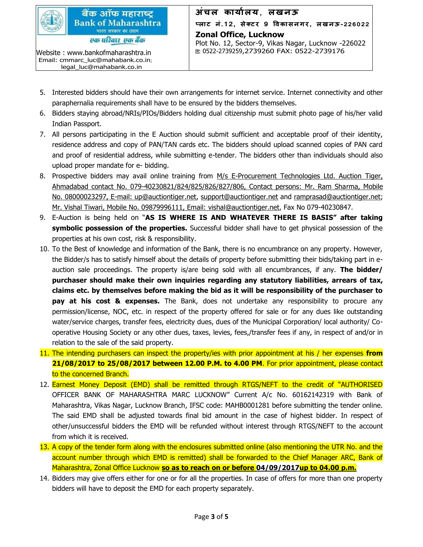

Email: [cmmarc\\_luc@mahabank.co.in](mailto:cmmarc_luc@mahabank.co.in); [legal\\_luc@mahabank.co.in](mailto:legal_luc@mahabank.co.in)

**अंचल कार्ाालर्**, **लखनऊ प्लाट नं.12, सेक्टर 9 विकासनगर, लखनऊ-226 0 22 Zonal Office, Lucknow**  Plot No. 12, Sector-9, Vikas Nagar, Lucknow -226022 **:** 0522-2739259,2739260 FAX: 0522-2739176

- 5. Interested bidders should have their own arrangements for internet service. Internet connectivity and other paraphernalia requirements shall have to be ensured by the bidders themselves.
- 6. Bidders staying abroad/NRIs/PIOs/Bidders holding dual citizenship must submit photo page of his/her valid Indian Passport.
- 7. All persons participating in the E Auction should submit sufficient and acceptable proof of their identity, residence address and copy of PAN/TAN cards etc. The bidders should upload scanned copies of PAN card and proof of residential address, while submitting e-tender. The bidders other than individuals should also upload proper mandate for e- bidding.
- 8. Prospective bidders may avail online training from M/s E-Procurement Technologies Ltd. Auction Tiger, Ahmadabad contact No. 079-40230821/824/825/826/827/806, Contact persons: Mr. Ram Sharma, Mobile No. 08000023297, E-mail: [up@auctiontiger.net,](mailto:up@auctiontiger.net) [support@auctiontiger.net](mailto:support@auctiontiger.net) and [ramprasad@auctiontiger.net;](mailto:ramprasad@auctiontiger.net) Mr. Vishal Tiwari, Mobile No. 09879996111, Email: [vishal@auctiontiger.net,](mailto:vijay.shetty@auctiontiger.net) Fax No 079-40230847.
- 9. E-Auction is being held on "**AS IS WHERE IS AND WHATEVER THERE IS BASIS" after taking symbolic possession of the properties.** Successful bidder shall have to get physical possession of the properties at his own cost, risk & responsibility.
- 10. To the Best of knowledge and information of the Bank, there is no encumbrance on any property. However, the Bidder/s has to satisfy himself about the details of property before submitting their bids/taking part in eauction sale proceedings. The property is/are being sold with all encumbrances, if any. **The bidder/ purchaser should make their own inquiries regarding any statutory liabilities, arrears of tax, claims etc. by themselves before making the bid as it will be responsibility of the purchaser to pay at his cost & expenses.** The Bank, does not undertake any responsibility to procure any permission/license, NOC, etc. in respect of the property offered for sale or for any dues like outstanding water/service charges, transfer fees, electricity dues, dues of the Municipal Corporation/ local authority/ Cooperative Housing Society or any other dues, taxes, levies, fees,/transfer fees if any, in respect of and/or in relation to the sale of the said property.
- 11. The intending purchasers can inspect the property/ies with prior appointment at his / her expenses **from 21/08/2017 to 25/08/2017 between 12.00 P.M. to 4.00 PM**. For prior appointment, please contact to the concerned Branch.
- 12. Earnest Money Deposit (EMD) shall be remitted through RTGS/NEFT to the credit of "AUTHORISED OFFICER BANK OF MAHARASHTRA MARC LUCKNOW" Current A/c No. 60162142319 with Bank of Maharashtra, Vikas Nagar, Lucknow Branch, IFSC code: MAHB0001281 before submitting the tender online. The said EMD shall be adjusted towards final bid amount in the case of highest bidder. In respect of other/unsuccessful bidders the EMD will be refunded without interest through RTGS/NEFT to the account from which it is received.
- 13. A copy of the tender form along with the enclosures submitted online (also mentioning the UTR No. and the account number through which EMD is remitted) shall be forwarded to the Chief Manager ARC, Bank of Maharashtra, Zonal Office Lucknow **so as to reach on or before 04/09/2017up to 04.00 p.m.**
- 14. Bidders may give offers either for one or for all the properties. In case of offers for more than one property bidders will have to deposit the EMD for each property separately.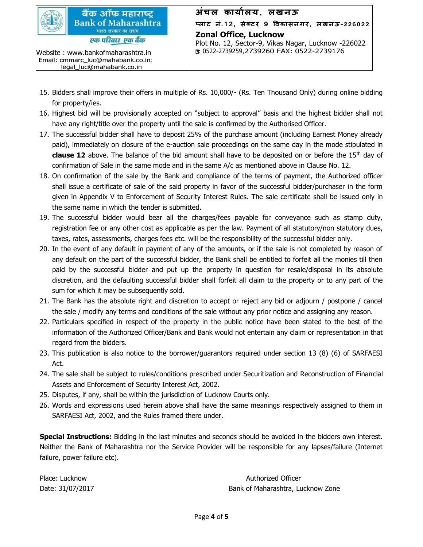

**अंचल कार्ाालर्**, **लखनऊ प्लाट नं.12, सेक्टर 9 विकासनगर, लखनऊ-226 0 22 Zonal Office, Lucknow**  Plot No. 12, Sector-9, Vikas Nagar, Lucknow -226022 **:** 0522-2739259,2739260 FAX: 0522-2739176

- 15. Bidders shall improve their offers in multiple of Rs. 10,000/- (Rs. Ten Thousand Only) during online bidding for property/ies.
- 16. Highest bid will be provisionally accepted on "subject to approval" basis and the highest bidder shall not have any right/title over the property until the sale is confirmed by the Authorised Officer.
- 17. The successful bidder shall have to deposit 25% of the purchase amount (including Earnest Money already paid), immediately on closure of the e-auction sale proceedings on the same day in the mode stipulated in **clause 12** above. The balance of the bid amount shall have to be deposited on or before the 15<sup>th</sup> day of confirmation of Sale in the same mode and in the same A/c as mentioned above in Clause No. 12.
- 18. On confirmation of the sale by the Bank and compliance of the terms of payment, the Authorized officer shall issue a certificate of sale of the said property in favor of the successful bidder/purchaser in the form given in Appendix V to Enforcement of Security Interest Rules. The sale certificate shall be issued only in the same name in which the tender is submitted.
- 19. The successful bidder would bear all the charges/fees payable for conveyance such as stamp duty, registration fee or any other cost as applicable as per the law. Payment of all statutory/non statutory dues, taxes, rates, assessments, charges fees etc. will be the responsibility of the successful bidder only.
- 20. In the event of any default in payment of any of the amounts, or if the sale is not completed by reason of any default on the part of the successful bidder, the Bank shall be entitled to forfeit all the monies till then paid by the successful bidder and put up the property in question for resale/disposal in its absolute discretion, and the defaulting successful bidder shall forfeit all claim to the property or to any part of the sum for which it may be subsequently sold.
- 21. The Bank has the absolute right and discretion to accept or reject any bid or adjourn / postpone / cancel the sale / modify any terms and conditions of the sale without any prior notice and assigning any reason.
- 22. Particulars specified in respect of the property in the public notice have been stated to the best of the information of the Authorized Officer/Bank and Bank would not entertain any claim or representation in that regard from the bidders.
- 23. This publication is also notice to the borrower/guarantors required under section 13 (8) (6) of SARFAESI Act.
- 24. The sale shall be subject to rules/conditions prescribed under Securitization and Reconstruction of Financial Assets and Enforcement of Security Interest Act, 2002.
- 25. Disputes, if any, shall be within the jurisdiction of Lucknow Courts only.
- 26. Words and expressions used herein above shall have the same meanings respectively assigned to them in SARFAESI Act, 2002, and the Rules framed there under.

**Special Instructions:** Bidding in the last minutes and seconds should be avoided in the bidders own interest. Neither the Bank of Maharashtra nor the Service Provider will be responsible for any lapses/failure (Internet failure, power failure etc).

Place: Lucknow **Authorized Officer Place: Lucknow** Date: 31/07/2017 Bank of Maharashtra, Lucknow Zone